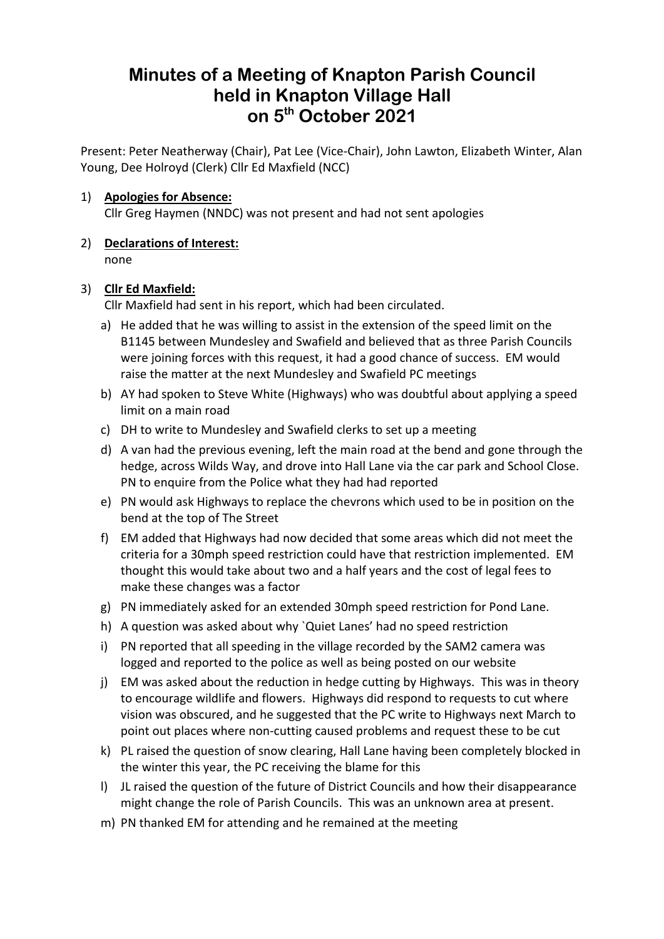# **Minutes of a Meeting of Knapton Parish Council held in Knapton Village Hall on 5th October 2021**

Present: Peter Neatherway (Chair), Pat Lee (Vice-Chair), John Lawton, Elizabeth Winter, Alan Young, Dee Holroyd (Clerk) Cllr Ed Maxfield (NCC)

# 1) **Apologies for Absence:**

Cllr Greg Haymen (NNDC) was not present and had not sent apologies

2) **Declarations of Interest:** none

## 3) **Cllr Ed Maxfield:**

Cllr Maxfield had sent in his report, which had been circulated.

- a) He added that he was willing to assist in the extension of the speed limit on the B1145 between Mundesley and Swafield and believed that as three Parish Councils were joining forces with this request, it had a good chance of success. EM would raise the matter at the next Mundesley and Swafield PC meetings
- b) AY had spoken to Steve White (Highways) who was doubtful about applying a speed limit on a main road
- c) DH to write to Mundesley and Swafield clerks to set up a meeting
- d) A van had the previous evening, left the main road at the bend and gone through the hedge, across Wilds Way, and drove into Hall Lane via the car park and School Close. PN to enquire from the Police what they had had reported
- e) PN would ask Highways to replace the chevrons which used to be in position on the bend at the top of The Street
- f) EM added that Highways had now decided that some areas which did not meet the criteria for a 30mph speed restriction could have that restriction implemented. EM thought this would take about two and a half years and the cost of legal fees to make these changes was a factor
- g) PN immediately asked for an extended 30mph speed restriction for Pond Lane.
- h) A question was asked about why `Quiet Lanes' had no speed restriction
- i) PN reported that all speeding in the village recorded by the SAM2 camera was logged and reported to the police as well as being posted on our website
- j) EM was asked about the reduction in hedge cutting by Highways. This was in theory to encourage wildlife and flowers. Highways did respond to requests to cut where vision was obscured, and he suggested that the PC write to Highways next March to point out places where non-cutting caused problems and request these to be cut
- k) PL raised the question of snow clearing, Hall Lane having been completely blocked in the winter this year, the PC receiving the blame for this
- l) JL raised the question of the future of District Councils and how their disappearance might change the role of Parish Councils. This was an unknown area at present.
- m) PN thanked EM for attending and he remained at the meeting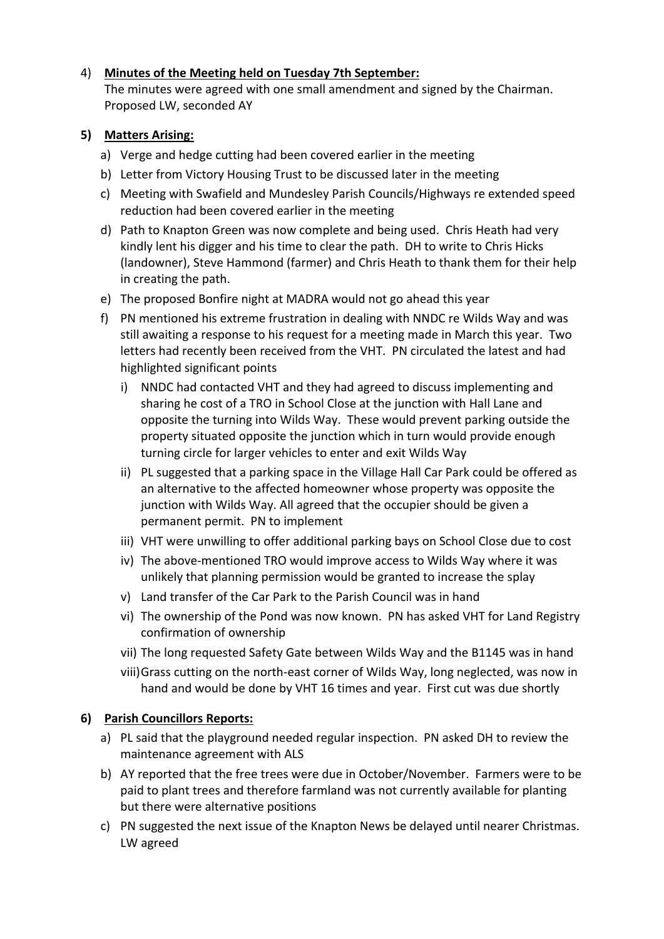# 4) **Minutes of the Meeting held on Tuesday 7th September:**

The minutes were agreed with one small amendment and signed by the Chairman. Proposed LW, seconded AY

# **5) Matters Arising:**

- a) Verge and hedge cutting had been covered earlier in the meeting
- b) Letter from Victory Housing Trust to be discussed later in the meeting
- c) Meeting with Swafield and Mundesley Parish Councils/Highways re extended speed reduction had been covered earlier in the meeting
- d) Path to Knapton Green was now complete and being used. Chris Heath had very kindly lent his digger and his time to clear the path. DH to write to Chris Hicks (landowner), Steve Hammond (farmer) and Chris Heath to thank them for their help in creating the path.
- e) The proposed Bonfire night at MADRA would not go ahead this year
- f) PN mentioned his extreme frustration in dealing with NNDC re Wilds Way and was still awaiting a response to his request for a meeting made in March this year. Two letters had recently been received from the VHT. PN circulated the latest and had highlighted significant points
	- i) NNDC had contacted VHT and they had agreed to discuss implementing and sharing he cost of a TRO in School Close at the junction with Hall Lane and opposite the turning into Wilds Way. These would prevent parking outside the property situated opposite the junction which in turn would provide enough turning circle for larger vehicles to enter and exit Wilds Way
	- ii) PL suggested that a parking space in the Village Hall Car Park could be offered as an alternative to the affected homeowner whose property was opposite the junction with Wilds Way. All agreed that the occupier should be given a permanent permit. PN to implement
	- iii) VHT were unwilling to offer additional parking bays on School Close due to cost
	- iv) The above-mentioned TRO would improve access to Wilds Way where it was unlikely that planning permission would be granted to increase the splay
	- v) Land transfer of the Car Park to the Parish Council was in hand
	- vi) The ownership of the Pond was now known. PN has asked VHT for Land Registry confirmation of ownership
	- vii) The long requested Safety Gate between Wilds Way and the B1145 was in hand
	- viii)Grass cutting on the north-east corner of Wilds Way, long neglected, was now in hand and would be done by VHT 16 times and year. First cut was due shortly

# **6) Parish Councillors Reports:**

- a) PL said that the playground needed regular inspection. PN asked DH to review the maintenance agreement with ALS
- b) AY reported that the free trees were due in October/November. Farmers were to be paid to plant trees and therefore farmland was not currently available for planting but there were alternative positions
- c) PN suggested the next issue of the Knapton News be delayed until nearer Christmas. LW agreed